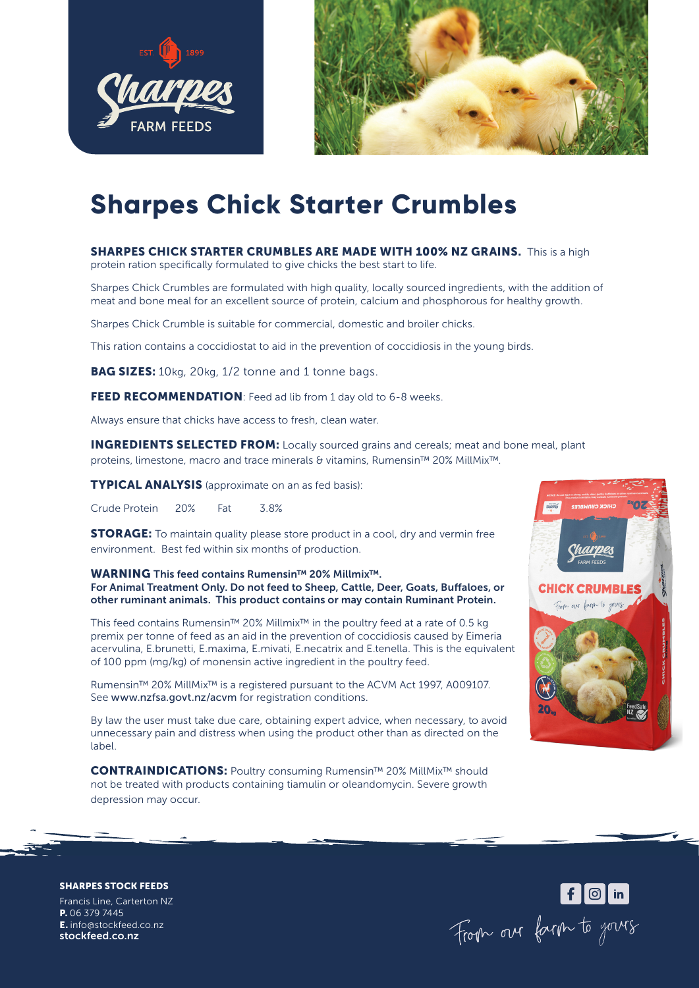



## **Sharpes Chick Starter Crumbles**

**SHARPES CHICK STARTER CRUMBLES ARE MADE WITH 100% NZ GRAINS.** This is a high protein ration specifically formulated to give chicks the best start to life.

Sharpes Chick Crumbles are formulated with high quality, locally sourced ingredients, with the addition of meat and bone meal for an excellent source of protein, calcium and phosphorous for healthy growth.

Sharpes Chick Crumble is suitable for commercial, domestic and broiler chicks.

This ration contains a coccidiostat to aid in the prevention of coccidiosis in the young birds.

BAG SIZES: 10kg, 20kg, 1/2 tonne and 1 tonne bags.

FEED RECOMMENDATION: Feed ad lib from 1 day old to 6-8 weeks.

Always ensure that chicks have access to fresh, clean water.

**INGREDIENTS SELECTED FROM:** Locally sourced grains and cereals; meat and bone meal, plant proteins, limestone, macro and trace minerals & vitamins, Rumensin™ 20% MillMix™.

TYPICAL ANALYSIS (approximate on an as fed basis):

Crude Protein 20% Fat 3.8%

**STORAGE:** To maintain quality please store product in a cool, dry and vermin free environment. Best fed within six months of production.

WARNING This feed contains Rumensin™ 20% Millmix<sup>™</sup>. For Animal Treatment Only. Do not feed to Sheep, Cattle, Deer, Goats, Buffaloes, or other ruminant animals. This product contains or may contain Ruminant Protein.

This feed contains Rumensin™ 20% Millmix™ in the poultry feed at a rate of 0.5 kg premix per tonne of feed as an aid in the prevention of coccidiosis caused by Eimeria acervulina, E.brunetti, E.maxima, E.mivati, E.necatrix and E.tenella. This is the equivalent of 100 ppm (mg/kg) of monensin active ingredient in the poultry feed.

Rumensin™ 20% MillMix™ is a registered pursuant to the ACVM Act 1997, A009107. See www.nzfsa.govt.nz/acvm for registration conditions.

By law the user must take due care, obtaining expert advice, when necessary, to avoid unnecessary pain and distress when using the product other than as directed on the label.

CONTRAINDICATIONS: Poultry consuming Rumensin™ 20% MillMix™ should not be treated with products containing tiamulin or oleandomycin. Severe growth depression may occur.



SHARPES STOCK FEEDS

Francis Line, Carterton NZ P. 06 379 7445 E. info@stockfeed.co.nz stockfeed.co.nz

For our farm to yours